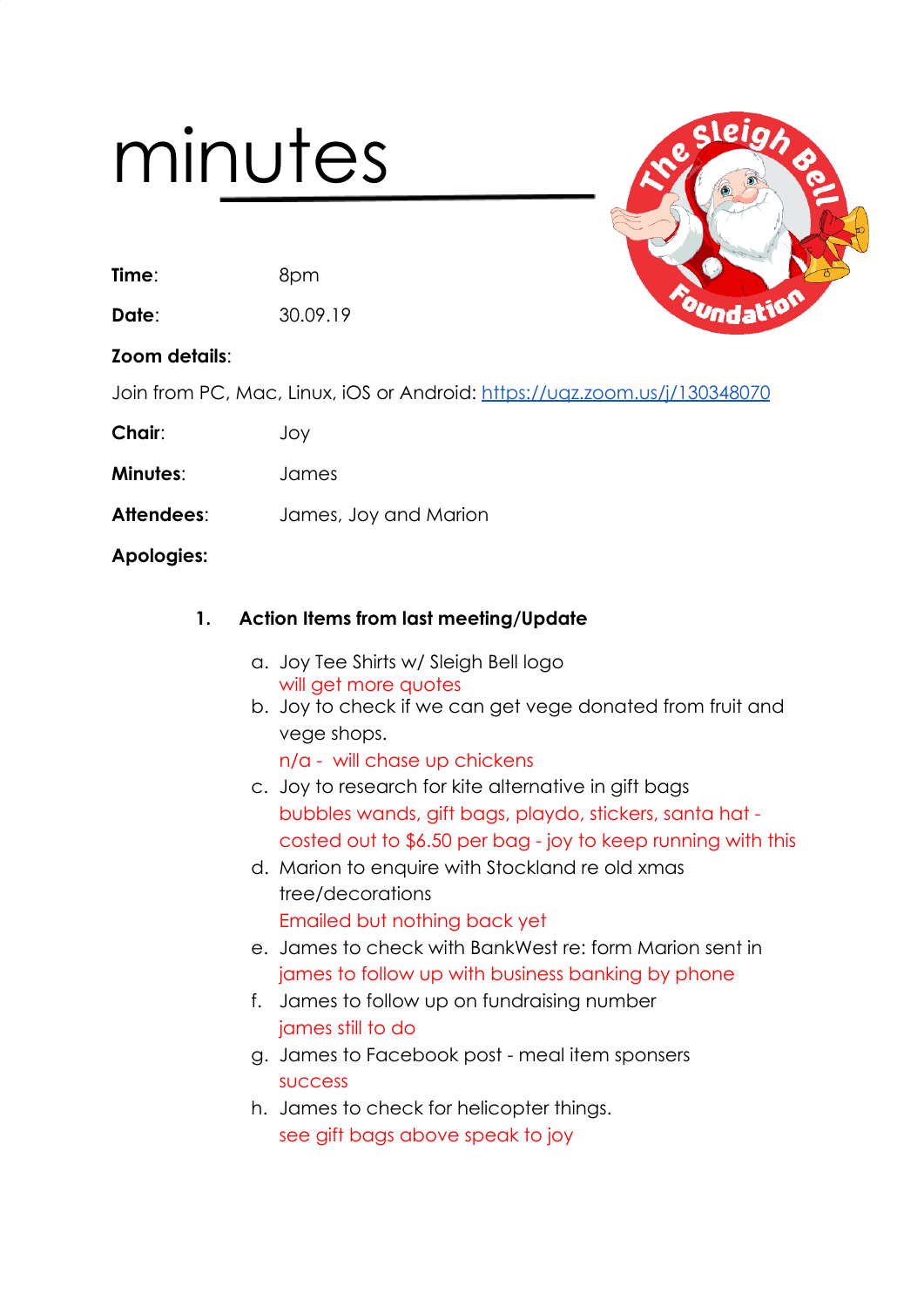# minutes

**Time**: 8pm

**Date**: 30.09.19

**Zoom details**:

Join from PC, Mac, Linux, iOS or Android: <https://uqz.zoom.us/j/130348070>

**Chair**: Joy

**Minutes**: James

**Attendees**: James, Joy and Marion

**Apologies:**

# **1. Action Items from last meeting/Update**

- a. Joy Tee Shirts w/ Sleigh Bell logo will get more quotes
- b. Joy to check if we can get vege donated from fruit and vege shops.

n/a - will chase up chickens

- c. Joy to research for kite alternative in gift bags bubbles wands, gift bags, playdo, stickers, santa hat costed out to \$6.50 per bag - joy to keep running with this
- d. Marion to enquire with Stockland re old xmas tree/decorations Emailed but nothing back yet
- e. James to check with BankWest re: form Marion sent in james to follow up with business banking by phone
- f. James to follow up on fundraising number james still to do
- g. James to Facebook post meal item sponsers success
- h. James to check for helicopter things. see gift bags above speak to joy

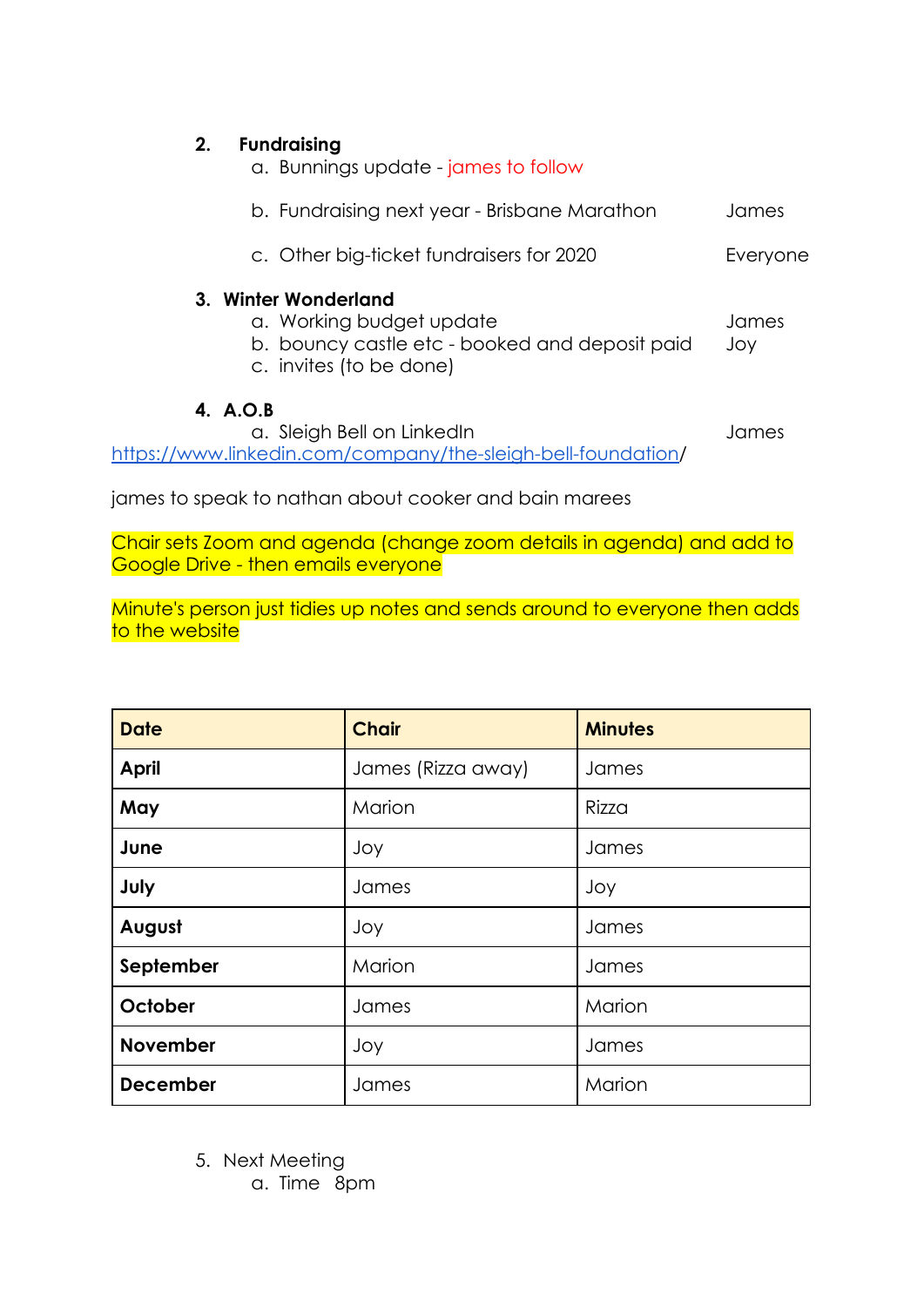| 2.<br><b>Fundraising</b><br>a. Bunnings update - james to follow                                                              |              |
|-------------------------------------------------------------------------------------------------------------------------------|--------------|
| b. Fundraising next year - Brisbane Marathon                                                                                  | James        |
| c. Other big-ticket fundraisers for 2020                                                                                      | Everyone     |
| 3. Winter Wonderland<br>a. Working budget update<br>b. bouncy castle etc - booked and deposit paid<br>c. invites (to be done) | James<br>Joy |
| 4. A.O.B<br>a. Sleigh Bell on LinkedIn<br>www.linkedin.com/company/the-sleigh-bell-foundation/<br>httn                        | James        |

james to speak to nathan about cooker and bain marees

Chair sets Zoom and agenda (change zoom details in agenda) and add to Google Drive - then emails everyone

Minute's person just tidies up notes and sends around to everyone then adds to the website

| <b>Date</b>     | <b>Chair</b>       | <b>Minutes</b> |
|-----------------|--------------------|----------------|
| <b>April</b>    | James (Rizza away) | James          |
| May             | Marion             | Rizza          |
| June            | Joy                | James          |
| July            | James              | Joy            |
| August          | Joy                | James          |
| September       | Marion             | James          |
| October         | James              | Marion         |
| <b>November</b> | Joy                | James          |
| <b>December</b> | James              | Marion         |

5. Next Meeting

a. Time 8pm